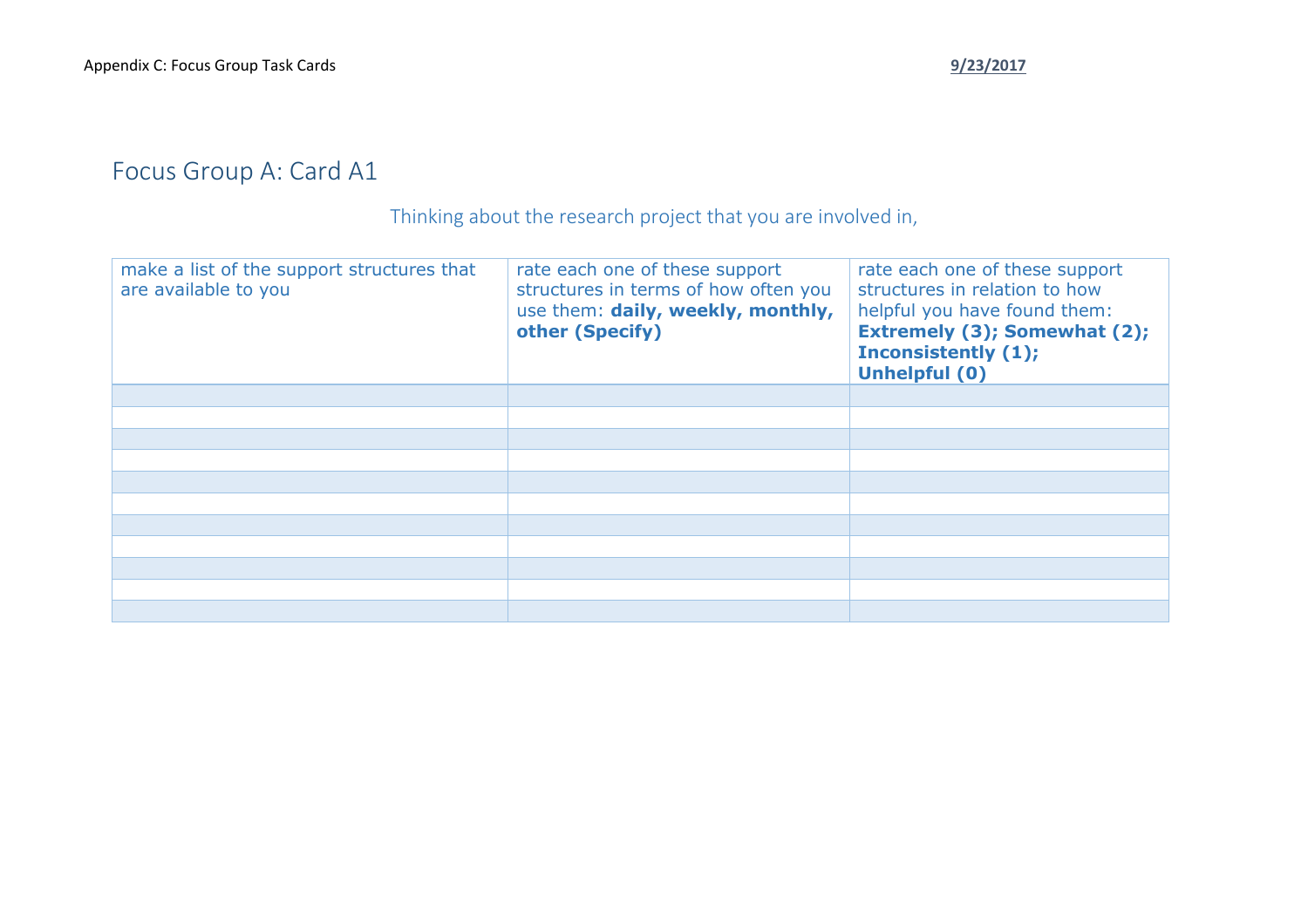## Focus Group A: Card A1

Thinking about the research project that you are involved in,

| make a list of the support structures that<br>are available to you | rate each one of these support<br>structures in terms of how often you<br>use them: daily, weekly, monthly,<br>other (Specify) | rate each one of these support<br>structures in relation to how<br>helpful you have found them:<br><b>Extremely (3); Somewhat (2);</b><br><b>Inconsistently (1);</b><br><b>Unhelpful (0)</b> |
|--------------------------------------------------------------------|--------------------------------------------------------------------------------------------------------------------------------|----------------------------------------------------------------------------------------------------------------------------------------------------------------------------------------------|
|                                                                    |                                                                                                                                |                                                                                                                                                                                              |
|                                                                    |                                                                                                                                |                                                                                                                                                                                              |
|                                                                    |                                                                                                                                |                                                                                                                                                                                              |
|                                                                    |                                                                                                                                |                                                                                                                                                                                              |
|                                                                    |                                                                                                                                |                                                                                                                                                                                              |
|                                                                    |                                                                                                                                |                                                                                                                                                                                              |
|                                                                    |                                                                                                                                |                                                                                                                                                                                              |
|                                                                    |                                                                                                                                |                                                                                                                                                                                              |
|                                                                    |                                                                                                                                |                                                                                                                                                                                              |
|                                                                    |                                                                                                                                |                                                                                                                                                                                              |
|                                                                    |                                                                                                                                |                                                                                                                                                                                              |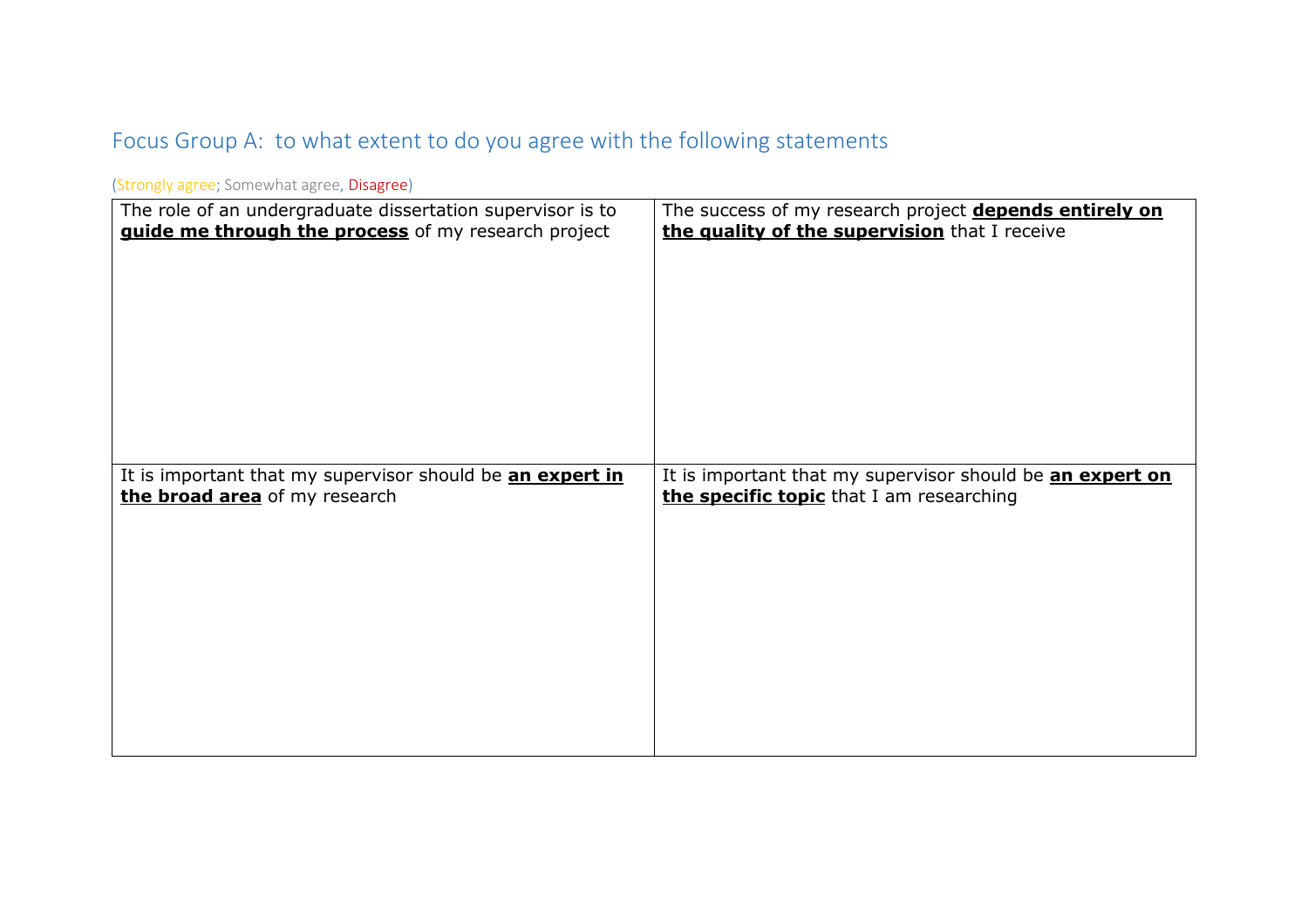## Focus Group A: to what extent to do you agree with the following statements

| The role of an undergraduate dissertation supervisor is to | The success of my research project depends entirely on    |
|------------------------------------------------------------|-----------------------------------------------------------|
| guide me through the process of my research project        | the quality of the supervision that I receive             |
| It is important that my supervisor should be an expert in  | It is important that my supervisor should be an expert on |
| the broad area of my research                              | the specific topic that I am researching                  |
|                                                            |                                                           |

(Strongly agree; Somewhat agree, Disagree)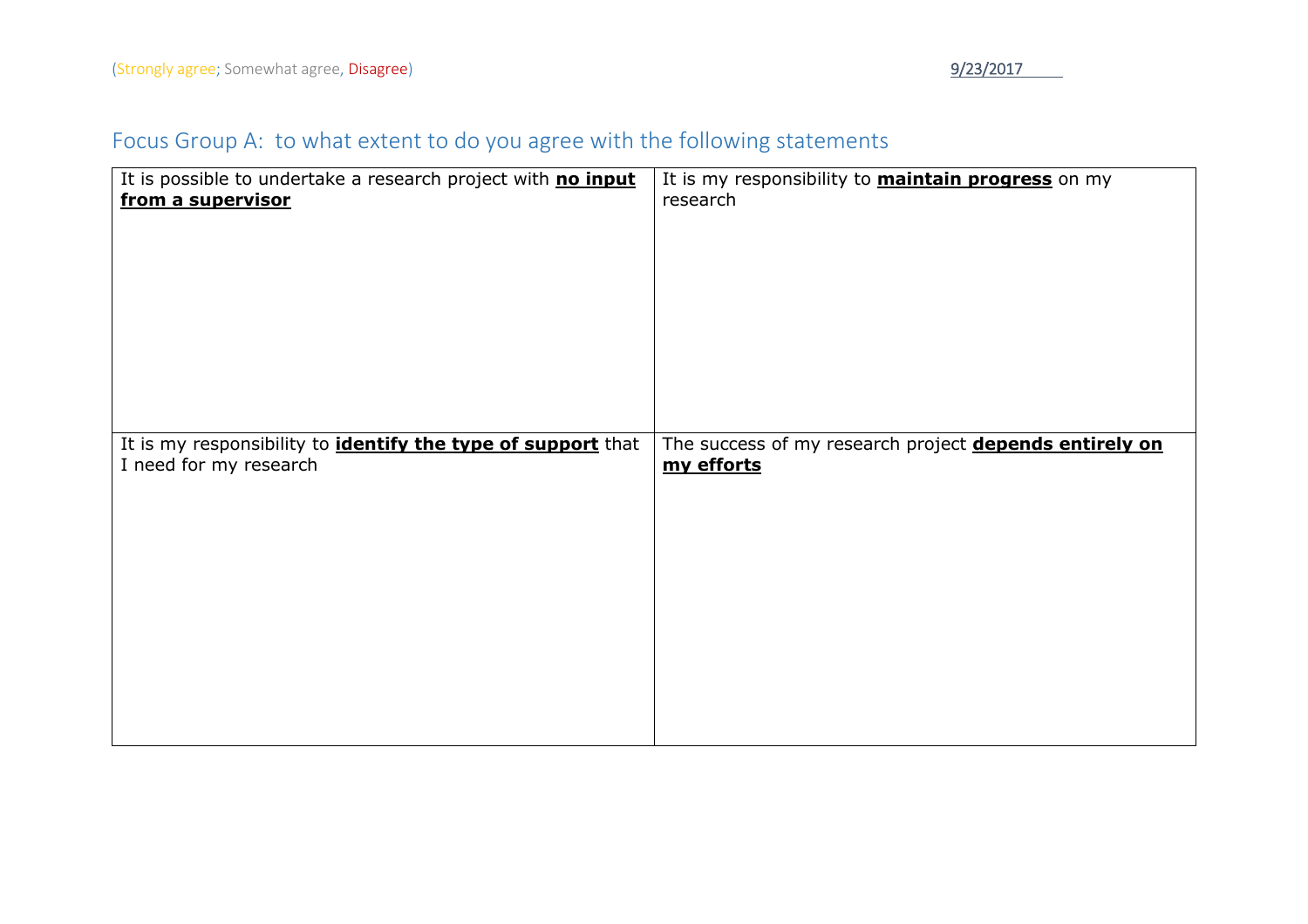## Focus Group A: to what extent to do you agree with the following statements

| It is possible to undertake a research project with no input                                  | It is my responsibility to <b>maintain progress</b> on my            |
|-----------------------------------------------------------------------------------------------|----------------------------------------------------------------------|
| from a supervisor                                                                             | research                                                             |
|                                                                                               |                                                                      |
|                                                                                               |                                                                      |
|                                                                                               |                                                                      |
|                                                                                               |                                                                      |
|                                                                                               |                                                                      |
|                                                                                               |                                                                      |
|                                                                                               |                                                                      |
|                                                                                               |                                                                      |
|                                                                                               |                                                                      |
| It is my responsibility to <i>identify the type of support</i> that<br>I need for my research | The success of my research project depends entirely on<br>my efforts |
|                                                                                               |                                                                      |
|                                                                                               |                                                                      |
|                                                                                               |                                                                      |
|                                                                                               |                                                                      |
|                                                                                               |                                                                      |
|                                                                                               |                                                                      |
|                                                                                               |                                                                      |
|                                                                                               |                                                                      |
|                                                                                               |                                                                      |
|                                                                                               |                                                                      |
|                                                                                               |                                                                      |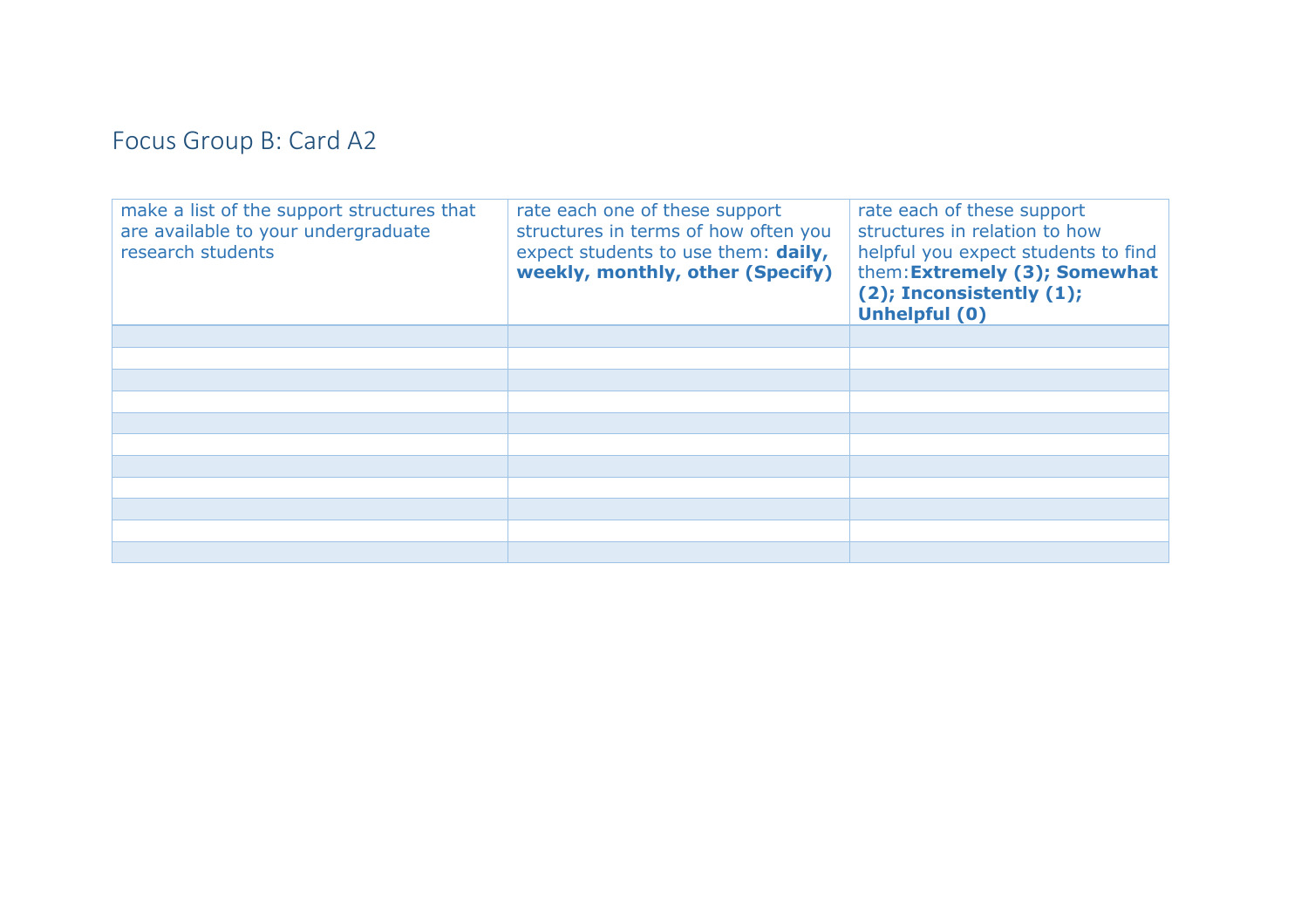## Focus Group B: Card A2

| make a list of the support structures that<br>are available to your undergraduate<br>research students | rate each one of these support<br>structures in terms of how often you<br>expect students to use them: daily,<br>weekly, monthly, other (Specify) | rate each of these support<br>structures in relation to how<br>helpful you expect students to find<br>them: Extremely (3); Somewhat<br>(2); Inconsistently (1);<br><b>Unhelpful (0)</b> |
|--------------------------------------------------------------------------------------------------------|---------------------------------------------------------------------------------------------------------------------------------------------------|-----------------------------------------------------------------------------------------------------------------------------------------------------------------------------------------|
|                                                                                                        |                                                                                                                                                   |                                                                                                                                                                                         |
|                                                                                                        |                                                                                                                                                   |                                                                                                                                                                                         |
|                                                                                                        |                                                                                                                                                   |                                                                                                                                                                                         |
|                                                                                                        |                                                                                                                                                   |                                                                                                                                                                                         |
|                                                                                                        |                                                                                                                                                   |                                                                                                                                                                                         |
|                                                                                                        |                                                                                                                                                   |                                                                                                                                                                                         |
|                                                                                                        |                                                                                                                                                   |                                                                                                                                                                                         |
|                                                                                                        |                                                                                                                                                   |                                                                                                                                                                                         |
|                                                                                                        |                                                                                                                                                   |                                                                                                                                                                                         |
|                                                                                                        |                                                                                                                                                   |                                                                                                                                                                                         |
|                                                                                                        |                                                                                                                                                   |                                                                                                                                                                                         |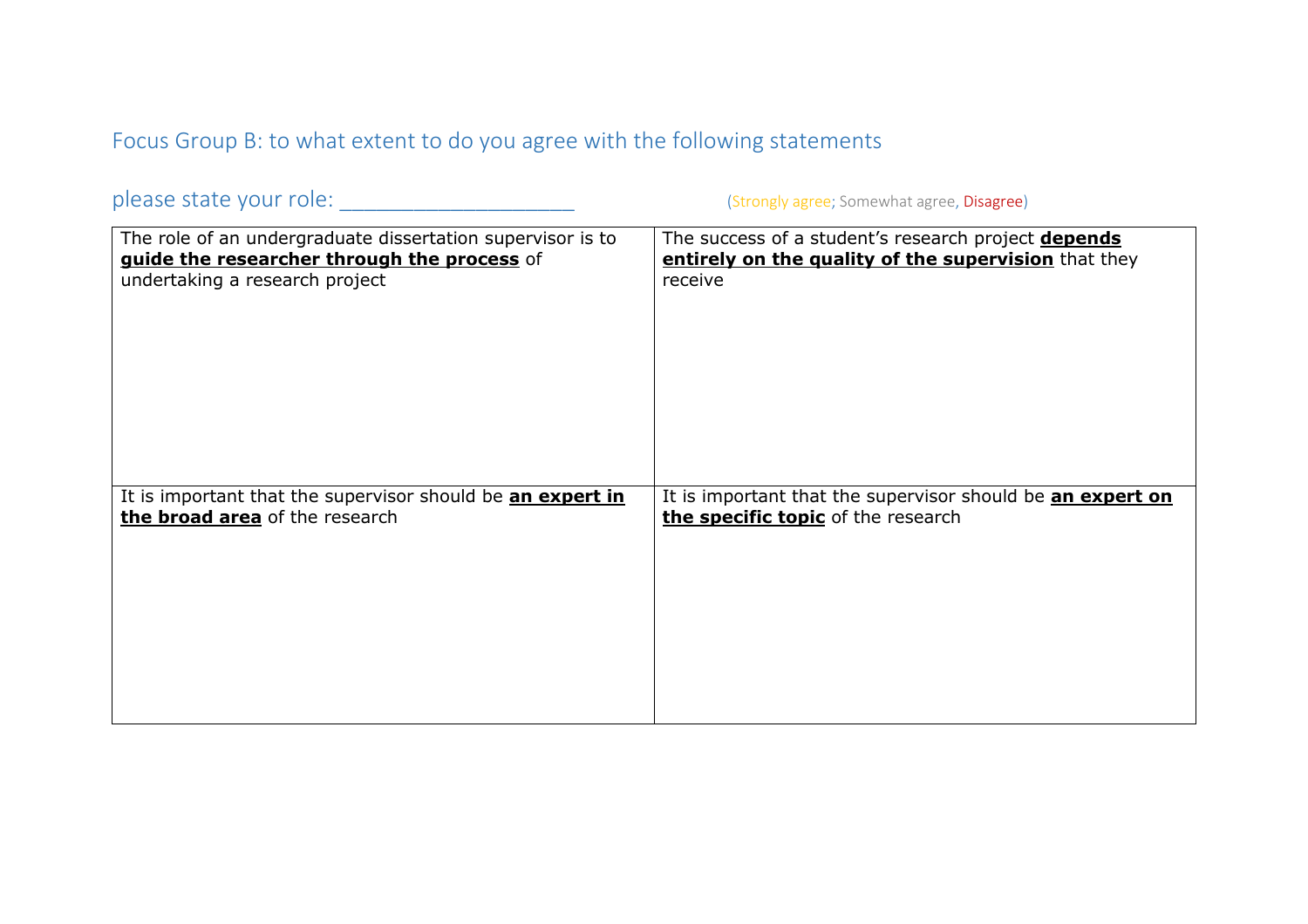Focus Group B: to what extent to do you agree with the following statements

please state your role: \_\_\_\_\_\_\_\_\_\_\_\_\_\_\_\_\_\_\_ (Strongly agree; Somewhat agree, Disagree)

| The role of an undergraduate dissertation supervisor is to | The success of a student's research project <b>depends</b> |
|------------------------------------------------------------|------------------------------------------------------------|
| guide the researcher through the process of                | entirely on the quality of the supervision that they       |
| undertaking a research project                             | receive                                                    |
| It is important that the supervisor should be an expert in | It is important that the supervisor should be an expert on |
| the broad area of the research                             | the specific topic of the research                         |